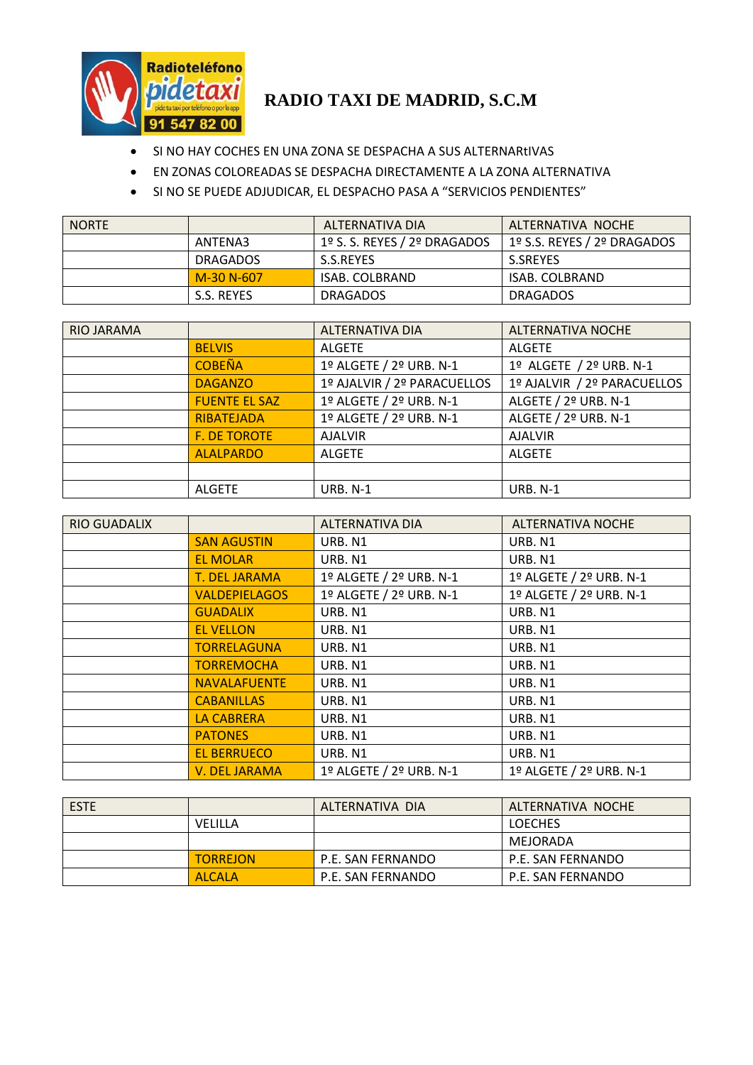

## **RADIO TAXI DE MADRID, S.C.M**

- $\bullet$  SI NO HAY COCHES EN UNA ZONA SE DESPACHA A SUS ALTERNARtIVAS
- EN ZONAS COLOREADAS SE DESPACHA DIRECTAMENTE A LA ZONA ALTERNATIVA
- SI NO SE PUEDE ADJUDICAR, EL DESPACHO PASA A "SERVICIOS PENDIENTES"

| <b>NORTE</b> |                 | ALTERNATIVA DIA              | ALTERNATIVA NOCHE           |
|--------------|-----------------|------------------------------|-----------------------------|
|              | ANTENA3         | 1º S. S. REYES / 2º DRAGADOS | 1º S.S. REYES / 2º DRAGADOS |
|              | <b>DRAGADOS</b> | S.S.REYES                    | S.SREYES                    |
|              | M-30 N-607      | <b>ISAB. COLBRAND</b>        | ISAB. COLBRAND              |
|              | S.S. REYES      | <b>DRAGADOS</b>              | <b>DRAGADOS</b>             |

| <b>RIO JARAMA</b> |                      | <b>ALTERNATIVA DIA</b>      | <b>ALTERNATIVA NOCHE</b>    |
|-------------------|----------------------|-----------------------------|-----------------------------|
|                   | <b>BELVIS</b>        | <b>ALGETE</b>               | <b>ALGETE</b>               |
|                   | <b>COBEÑA</b>        | 1º ALGETE / 2º URB. N-1     | 1º ALGETE / 2º URB. N-1     |
|                   | <b>DAGANZO</b>       | 1º AJALVIR / 2º PARACUELLOS | 1º AJALVIR / 2º PARACUELLOS |
|                   | <b>FUENTE EL SAZ</b> | 1º ALGETE / 2º URB. N-1     | ALGETE / 2º URB. N-1        |
|                   | RIBATEJADA           | 1º ALGETE / 2º URB. N-1     | ALGETE / 2º URB. N-1        |
|                   | <b>F. DE TOROTE</b>  | <b>AJALVIR</b>              | <b>AJALVIR</b>              |
|                   | <b>ALALPARDO</b>     | <b>ALGETE</b>               | <b>ALGETE</b>               |
|                   |                      |                             |                             |
|                   | <b>ALGETE</b>        | <b>URB. N-1</b>             | <b>URB. N-1</b>             |

| <b>RIO GUADALIX</b> |                      | ALTERNATIVA DIA         | <b>ALTERNATIVA NOCHE</b> |
|---------------------|----------------------|-------------------------|--------------------------|
|                     | <b>SAN AGUSTIN</b>   | URB. N1                 | URB. N1                  |
|                     | <b>EL MOLAR</b>      | URB. N1                 | URB. N1                  |
|                     | <b>T. DEL JARAMA</b> | 1º ALGETE / 2º URB. N-1 | 1º ALGETE / 2º URB. N-1  |
|                     | <b>VALDEPIELAGOS</b> | 1º ALGETE / 2º URB. N-1 | 1º ALGETE / 2º URB. N-1  |
|                     | <b>GUADALIX</b>      | URB. N1                 | URB. N1                  |
|                     | <b>EL VELLON</b>     | URB. N1                 | URB. N1                  |
|                     | <b>TORRELAGUNA</b>   | URB. N1                 | URB. N1                  |
|                     | <b>TORREMOCHA</b>    | URB. N1                 | URB. N1                  |
|                     | <b>NAVALAFUENTE</b>  | URB. N1                 | URB. N1                  |
|                     | <b>CABANILLAS</b>    | URB. N1                 | URB. N1                  |
|                     | <b>LA CABRERA</b>    | URB. N1                 | URB. N1                  |
|                     | <b>PATONES</b>       | URB. N1                 | URB. N1                  |
|                     | <b>EL BERRUECO</b>   | URB. N1                 | URB. N1                  |
|                     | V. DEL JARAMA        | 1º ALGETE / 2º URB. N-1 | 1º ALGETE / 2º URB. N-1  |

| <b>ESTE</b> |                 | ALTERNATIVA DIA   | ALTERNATIVA NOCHE |
|-------------|-----------------|-------------------|-------------------|
|             | <b>VELILLA</b>  |                   | <b>LOECHES</b>    |
|             |                 |                   | MEJORADA          |
|             | <b>TORREJON</b> | P.E. SAN FERNANDO | P.E. SAN FERNANDO |
|             | <b>ALCALA</b>   | P.E. SAN FERNANDO | P.E. SAN FERNANDO |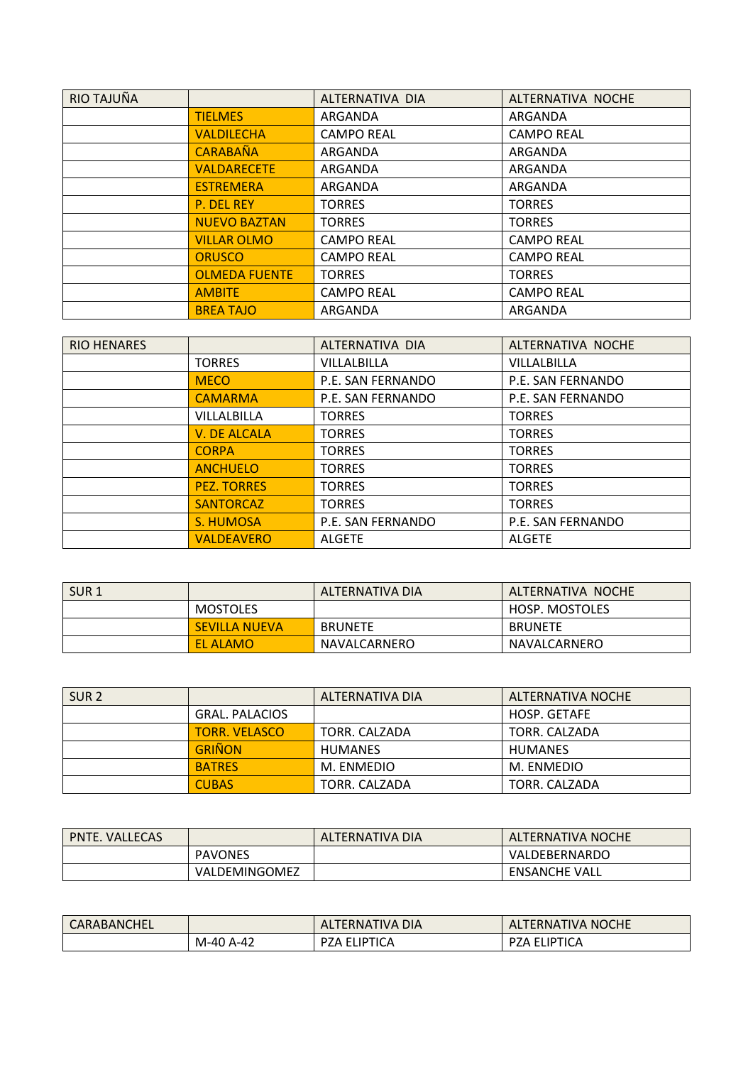| RIO TAJUÑA |                      | ALTERNATIVA DIA   | ALTERNATIVA NOCHE |
|------------|----------------------|-------------------|-------------------|
|            | <b>TIELMES</b>       | ARGANDA           | ARGANDA           |
|            | <b>VALDILECHA</b>    | <b>CAMPO REAL</b> | <b>CAMPO REAL</b> |
|            | <b>CARABAÑA</b>      | ARGANDA           | ARGANDA           |
|            | <b>VALDARECETE</b>   | ARGANDA           | ARGANDA           |
|            | <b>ESTREMERA</b>     | ARGANDA           | ARGANDA           |
|            | <b>P. DEL REY</b>    | <b>TORRES</b>     | <b>TORRES</b>     |
|            | <b>NUEVO BAZTAN</b>  | <b>TORRES</b>     | <b>TORRES</b>     |
|            | <b>VILLAR OLMO</b>   | <b>CAMPO REAL</b> | <b>CAMPO REAL</b> |
|            | <b>ORUSCO</b>        | <b>CAMPO REAL</b> | <b>CAMPO REAL</b> |
|            | <b>OLMEDA FUENTE</b> | <b>TORRES</b>     | <b>TORRES</b>     |
|            | <b>AMBITE</b>        | <b>CAMPO REAL</b> | <b>CAMPO REAL</b> |
|            | <b>BREA TAJO</b>     | ARGANDA           | ARGANDA           |

| <b>RIO HENARES</b> |                     | ALTERNATIVA DIA    | ALTERNATIVA NOCHE |
|--------------------|---------------------|--------------------|-------------------|
|                    | <b>TORRES</b>       | <b>VILLALBILLA</b> | VILLALBILLA       |
|                    | <b>MECO</b>         | P.E. SAN FERNANDO  | P.E. SAN FERNANDO |
|                    | <b>CAMARMA</b>      | P.E. SAN FERNANDO  | P.E. SAN FERNANDO |
|                    | VILLALBILLA         | <b>TORRES</b>      | <b>TORRES</b>     |
|                    | <b>V. DE ALCALA</b> | <b>TORRES</b>      | <b>TORRES</b>     |
|                    | <b>CORPA</b>        | <b>TORRES</b>      | <b>TORRES</b>     |
|                    | <b>ANCHUELO</b>     | <b>TORRES</b>      | <b>TORRES</b>     |
|                    | <b>PEZ. TORRES</b>  | <b>TORRES</b>      | <b>TORRES</b>     |
|                    | <b>SANTORCAZ</b>    | <b>TORRES</b>      | <b>TORRES</b>     |
|                    | <b>S. HUMOSA</b>    | P.E. SAN FERNANDO  | P.E. SAN FERNANDO |
|                    | <b>VALDEAVERO</b>   | <b>ALGETE</b>      | <b>ALGETE</b>     |

| SUR <sub>1</sub> |                      | ALTERNATIVA DIA | ALTERNATIVA NOCHE |
|------------------|----------------------|-----------------|-------------------|
|                  | <b>MOSTOLES</b>      |                 | HOSP. MOSTOLES    |
|                  | <b>SEVILLA NUEVA</b> | <b>BRUNETE</b>  | <b>BRUNETE</b>    |
|                  | EL ALAMO             | NAVALCARNERO    | NAVALCARNERO      |

| SUR <sub>2</sub> |                       | ALTERNATIVA DIA | ALTERNATIVA NOCHE   |
|------------------|-----------------------|-----------------|---------------------|
|                  | <b>GRAL, PALACIOS</b> |                 | <b>HOSP. GETAFE</b> |
|                  | <b>TORR. VELASCO</b>  | TORR. CALZADA   | TORR. CALZADA       |
|                  | <b>GRIÑON</b>         | <b>HUMANES</b>  | <b>HUMANES</b>      |
|                  | <b>BATRES</b>         | M. ENMEDIO      | M. ENMEDIO          |
|                  | <b>CUBAS</b>          | TORR. CALZADA   | TORR. CALZADA       |

| <b>PNTE. VALLECAS</b> |                | ALTERNATIVA DIA | <b>ALTERNATIVA NOCHE</b> |
|-----------------------|----------------|-----------------|--------------------------|
|                       | <b>PAVONES</b> |                 | VALDEBERNARDO            |
|                       | VALDEMINGOMEZ  |                 | <b>ENSANCHE VALL</b>     |

| CARABANCHEL |        | ALTERNATIVA DIA   | <b>ALTERNATIVA NOCHE</b> |
|-------------|--------|-------------------|--------------------------|
|             | $A-42$ | ELIPTICA          | <b>ELIPTICA</b>          |
|             | M-40   | <sup>ን</sup> ZA . | ንZA EL.                  |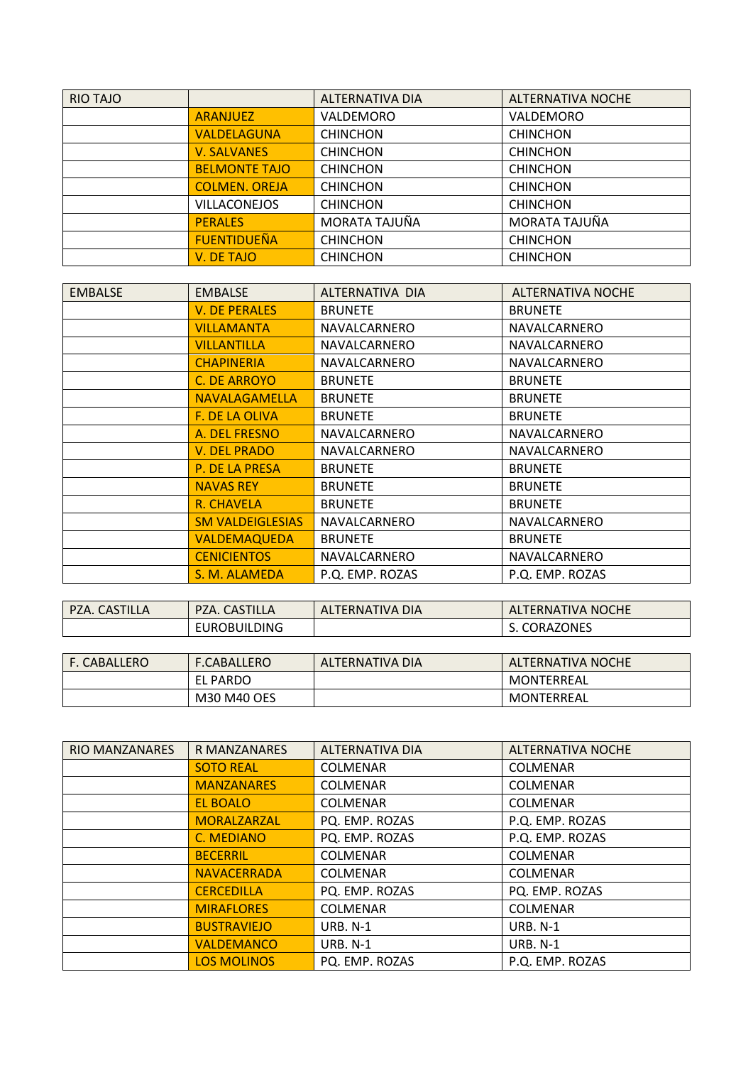| <b>RIO TAJO</b> |                      | <b>ALTERNATIVA DIA</b> | <b>ALTERNATIVA NOCHE</b> |
|-----------------|----------------------|------------------------|--------------------------|
|                 | <b>ARANJUEZ</b>      | VALDEMORO              | VALDEMORO                |
|                 | <b>VALDELAGUNA</b>   | <b>CHINCHON</b>        | <b>CHINCHON</b>          |
|                 | <b>V. SALVANES</b>   | <b>CHINCHON</b>        | <b>CHINCHON</b>          |
|                 | <b>BELMONTE TAJO</b> | <b>CHINCHON</b>        | <b>CHINCHON</b>          |
|                 | <b>COLMEN. OREJA</b> | <b>CHINCHON</b>        | <b>CHINCHON</b>          |
|                 | <b>VILLACONEJOS</b>  | <b>CHINCHON</b>        | <b>CHINCHON</b>          |
|                 | <b>PERALES</b>       | MORATA TAJUÑA          | MORATA TAJUÑA            |
|                 | <b>FUENTIDUEÑA</b>   | <b>CHINCHON</b>        | <b>CHINCHON</b>          |
|                 | V. DE TAJO           | <b>CHINCHON</b>        | <b>CHINCHON</b>          |

| <b>EMBALSE</b> | <b>EMBALSE</b>          | ALTERNATIVA DIA | <b>ALTERNATIVA NOCHE</b> |
|----------------|-------------------------|-----------------|--------------------------|
|                | <b>V. DE PERALES</b>    | <b>BRUNETE</b>  | <b>BRUNETE</b>           |
|                | VILLAMANTA              | NAVALCARNERO    | NAVALCARNERO             |
|                | VILLANTILLA             | NAVALCARNERO    | NAVALCARNERO             |
|                | <b>CHAPINERIA</b>       | NAVALCARNERO    | NAVALCARNERO             |
|                | C. DE ARROYO            | <b>BRUNETE</b>  | <b>BRUNETE</b>           |
|                | <b>NAVALAGAMELLA</b>    | <b>BRUNETE</b>  | <b>BRUNETE</b>           |
|                | <b>F. DE LA OLIVA</b>   | <b>BRUNETE</b>  | <b>BRUNETE</b>           |
|                | A. DEL FRESNO           | NAVALCARNERO    | NAVALCARNERO             |
|                | <b>V. DEL PRADO</b>     | NAVALCARNERO    | NAVALCARNERO             |
|                | P. DE LA PRESA          | <b>BRUNETE</b>  | <b>BRUNETE</b>           |
|                | <b>NAVAS REY</b>        | <b>BRUNETE</b>  | <b>BRUNETE</b>           |
|                | R. CHAVELA              | <b>BRUNETE</b>  | <b>BRUNETE</b>           |
|                | <b>SM VALDEIGLESIAS</b> | NAVALCARNERO    | NAVALCARNERO             |
|                | <b>VALDEMAQUEDA</b>     | <b>BRUNETE</b>  | <b>BRUNETE</b>           |
|                | <b>CENICIENTOS</b>      | NAVALCARNERO    | NAVALCARNERO             |
|                | S. M. ALAMEDA           | P.Q. EMP. ROZAS | P.Q. EMP. ROZAS          |

| <b>PZA. CASTILLA</b> | PZA. CASTILLA       | ALTERNATIVA DIA | ALTERNATIVA NOCHE |
|----------------------|---------------------|-----------------|-------------------|
|                      | <b>EUROBUILDING</b> |                 | S. CORAZONES      |
|                      |                     |                 |                   |

| l F. CABALLERO | <b>F.CABALLERO</b> | ALTERNATIVA DIA | <b>ALTERNATIVA NOCHE</b> |
|----------------|--------------------|-----------------|--------------------------|
|                | <b>EL PARDO</b>    |                 | MONTERREAL               |
|                | M30 M40 OES        |                 | MONTERREAL               |

| <b>RIO MANZANARES</b> | R MANZANARES       | ALTERNATIVA DIA | <b>ALTERNATIVA NOCHE</b> |
|-----------------------|--------------------|-----------------|--------------------------|
|                       | <b>SOTO REAL</b>   | <b>COLMENAR</b> | <b>COLMENAR</b>          |
|                       | <b>MANZANARES</b>  | <b>COLMENAR</b> | <b>COLMENAR</b>          |
|                       | <b>EL BOALO</b>    | <b>COLMENAR</b> | <b>COLMENAR</b>          |
|                       | MORALZARZAL        | PQ. EMP. ROZAS  | P.Q. EMP. ROZAS          |
|                       | C. MEDIANO         | PQ. EMP. ROZAS  | P.Q. EMP. ROZAS          |
|                       | <b>BECERRIL</b>    | <b>COLMENAR</b> | <b>COLMENAR</b>          |
|                       | <b>NAVACERRADA</b> | <b>COLMENAR</b> | <b>COLMENAR</b>          |
|                       | <b>CERCEDILLA</b>  | PQ. EMP. ROZAS  | PQ. EMP. ROZAS           |
|                       | <b>MIRAFLORES</b>  | <b>COLMENAR</b> | <b>COLMENAR</b>          |
|                       | <b>BUSTRAVIEJO</b> | <b>URB. N-1</b> | <b>URB. N-1</b>          |
|                       | <b>VALDEMANCO</b>  | <b>URB. N-1</b> | <b>URB. N-1</b>          |
|                       | <b>LOS MOLINOS</b> | PQ. EMP. ROZAS  | P.Q. EMP. ROZAS          |